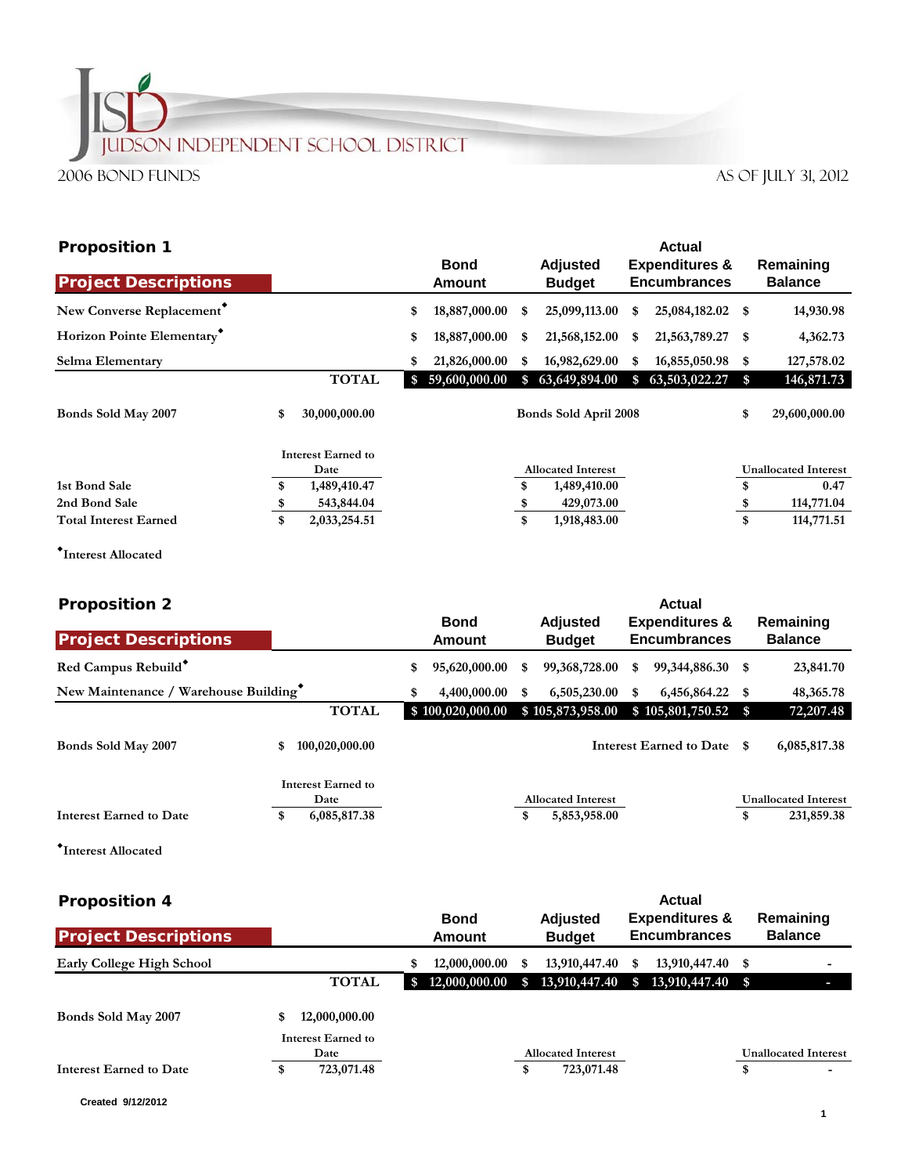## **JUDSON INDEPENDENT SCHOOL DISTRICT** 2006 Bond Funds AS OF JULY 31, 2012

| <b>Proposition 1</b>         |    |                                   |                       |                 | Actual |                                  |     |                                                  |      |                             |  |
|------------------------------|----|-----------------------------------|-----------------------|-----------------|--------|----------------------------------|-----|--------------------------------------------------|------|-----------------------------|--|
| <b>Project Descriptions</b>  |    |                                   | <b>Bond</b><br>Amount |                 |        | <b>Adjusted</b><br><b>Budget</b> |     | <b>Expenditures &amp;</b><br><b>Encumbrances</b> |      | Remaining<br><b>Balance</b> |  |
| New Converse Replacement     |    |                                   | \$                    | 18,887,000.00   | \$     | 25,099,113.00                    | \$  | 25,084,182.02                                    | \$   | 14,930.98                   |  |
| Horizon Pointe Elementary    |    |                                   | \$                    | 18,887,000.00   | S      | 21,568,152.00                    | \$  | 21,563,789.27                                    | - \$ | 4,362.73                    |  |
| Selma Elementary             |    |                                   | S                     | 21,826,000.00   | S      | 16,982,629.00                    | \$. | 16,855,050.98                                    | \$   | 127,578.02                  |  |
|                              |    | <b>TOTAL</b>                      |                       | \$59,600,000.00 | \$     | 63,649,894.00                    | \$  | 63,503,022.27                                    | \$   | 146,871.73                  |  |
| Bonds Sold May 2007          | \$ | 30,000,000.00                     |                       |                 |        | Bonds Sold April 2008            |     |                                                  | \$   | 29,600,000.00               |  |
|                              |    | <b>Interest Earned to</b><br>Date |                       |                 |        | <b>Allocated Interest</b>        |     |                                                  |      | <b>Unallocated Interest</b> |  |
| 1st Bond Sale                | \$ | 1,489,410.47                      |                       |                 |        | 1,489,410.00                     |     |                                                  | \$   | 0.47                        |  |
| 2nd Bond Sale                | S  | 543,844.04                        |                       |                 |        | 429,073.00                       |     |                                                  | \$   | 114,771.04                  |  |
| <b>Total Interest Earned</b> | \$ | 2,033,254.51                      |                       |                 | \$     | 1,918,483.00                     |     |                                                  | \$   | 114,771.51                  |  |

**Interest Allocated**

| <b>Proposition 2</b>                 |    |                            |              | <b>Actual</b>                    |              |                                                  |                 |                            |                             |                             |
|--------------------------------------|----|----------------------------|--------------|----------------------------------|--------------|--------------------------------------------------|-----------------|----------------------------|-----------------------------|-----------------------------|
| <b>Project Descriptions</b>          |    | <b>Bond</b><br>Amount      |              | <b>Adjusted</b><br><b>Budget</b> |              | <b>Expenditures &amp;</b><br><b>Encumbrances</b> |                 |                            | Remaining<br><b>Balance</b> |                             |
|                                      |    |                            |              |                                  |              |                                                  |                 |                            |                             |                             |
| Red Campus Rebuild*                  |    |                            | \$           | 95,620,000.00                    | S            | 99,368,728.00                                    | S               | 99, 344, 886. 30 \$        |                             | 23,841.70                   |
| New Maintenance / Warehouse Building |    | \$                         | 4,400,000.00 | \$                               | 6,505,230.00 | \$                                               | 6,456,864.22 \$ |                            | 48, 365. 78                 |                             |
|                                      |    | <b>TOTAL</b>               |              | \$100,020,000.00                 |              | \$105,873,958.00                                 |                 | $$105,801,750.52$ \$       |                             | 72,207.48                   |
| Bonds Sold May 2007                  | \$ | 100,020,000.00             |              |                                  |              |                                                  |                 | Interest Earned to Date \$ |                             | 6,085,817.38                |
|                                      |    | Interest Earned to<br>Date |              |                                  |              | <b>Allocated Interest</b>                        |                 |                            |                             | <b>Unallocated Interest</b> |
| <b>Interest Earned to Date</b>       | \$ | 6,085,817.38               |              |                                  | \$           | 5,853,958.00                                     |                 |                            | \$                          | 231,859.38                  |
|                                      |    |                            |              |                                  |              |                                                  |                 |                            |                             |                             |

**Interest Allocated**

| <b>Proposition 4</b>             |    |                    |                              |                 |    |                                  | <b>Actual</b>                                    |                  |    |                             |  |  |
|----------------------------------|----|--------------------|------------------------------|-----------------|----|----------------------------------|--------------------------------------------------|------------------|----|-----------------------------|--|--|
| <b>Project Descriptions</b>      |    |                    | <b>Bond</b><br><b>Amount</b> |                 |    | <b>Adjusted</b><br><b>Budget</b> | <b>Expenditures &amp;</b><br><b>Encumbrances</b> |                  |    | Remaining<br><b>Balance</b> |  |  |
| <b>Early College High School</b> |    |                    |                              | 12,000,000.00   | S. | 13,910,447.40                    | S                                                | 13,910,447.40 \$ |    | $\overline{\phantom{a}}$    |  |  |
|                                  |    | <b>TOTAL</b>       |                              | \$12,000,000.00 | S. | 13,910,447.40                    | $\mathbf{s}$                                     | 13,910,447.40 \$ |    |                             |  |  |
| Bonds Sold May 2007              | \$ | 12,000,000.00      |                              |                 |    |                                  |                                                  |                  |    |                             |  |  |
|                                  |    | Interest Earned to |                              |                 |    |                                  |                                                  |                  |    |                             |  |  |
|                                  |    | Date               |                              |                 |    | <b>Allocated Interest</b>        |                                                  |                  |    | <b>Unallocated Interest</b> |  |  |
| Interest Earned to Date          | \$ | 723,071.48         |                              |                 | \$ | 723,071.48                       |                                                  |                  | \$ |                             |  |  |

**Created 9/12/2012**